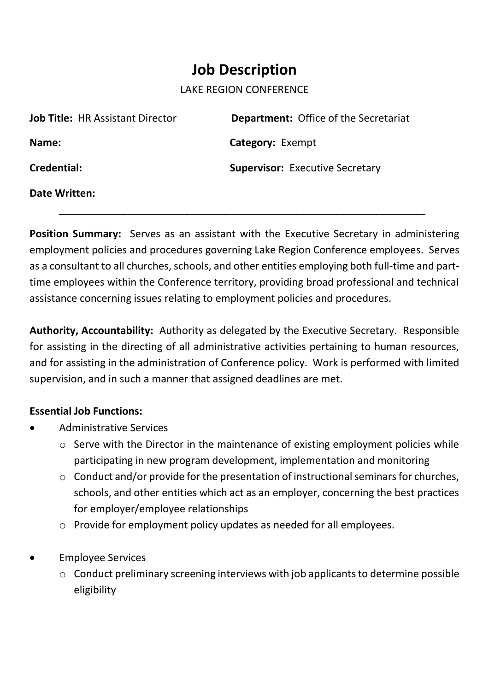## **Job Description**

## LAKE REGION CONFERENCE

| <b>Job Title: HR Assistant Director</b> | <b>Department: Office of the Secretariat</b> |
|-----------------------------------------|----------------------------------------------|
| Name:                                   | <b>Category: Exempt</b>                      |
| Credential:                             | <b>Supervisor: Executive Secretary</b>       |
| Date Written:                           |                                              |

 **\_\_\_\_\_\_\_\_\_\_\_\_\_\_\_\_\_\_\_\_\_\_\_\_\_\_\_\_\_\_\_\_\_\_\_\_\_\_\_\_\_\_\_\_\_\_\_\_\_\_\_\_\_\_\_\_\_\_\_\_\_\_\_\_**

**Position Summary:** Serves as an assistant with the Executive Secretary in administering employment policies and procedures governing Lake Region Conference employees. Serves as a consultant to all churches, schools, and other entities employing both full-time and parttime employees within the Conference territory, providing broad professional and technical assistance concerning issues relating to employment policies and procedures.

**Authority, Accountability:** Authority as delegated by the Executive Secretary. Responsible for assisting in the directing of all administrative activities pertaining to human resources, and for assisting in the administration of Conference policy. Work is performed with limited supervision, and in such a manner that assigned deadlines are met.

## **Essential Job Functions:**

- Administrative Services
	- o Serve with the Director in the maintenance of existing employment policies while participating in new program development, implementation and monitoring
	- o Conduct and/or provide for the presentation of instructional seminars for churches, schools, and other entities which act as an employer, concerning the best practices for employer/employee relationships
	- o Provide for employment policy updates as needed for all employees.
- Employee Services
	- o Conduct preliminary screening interviews with job applicants to determine possible eligibility